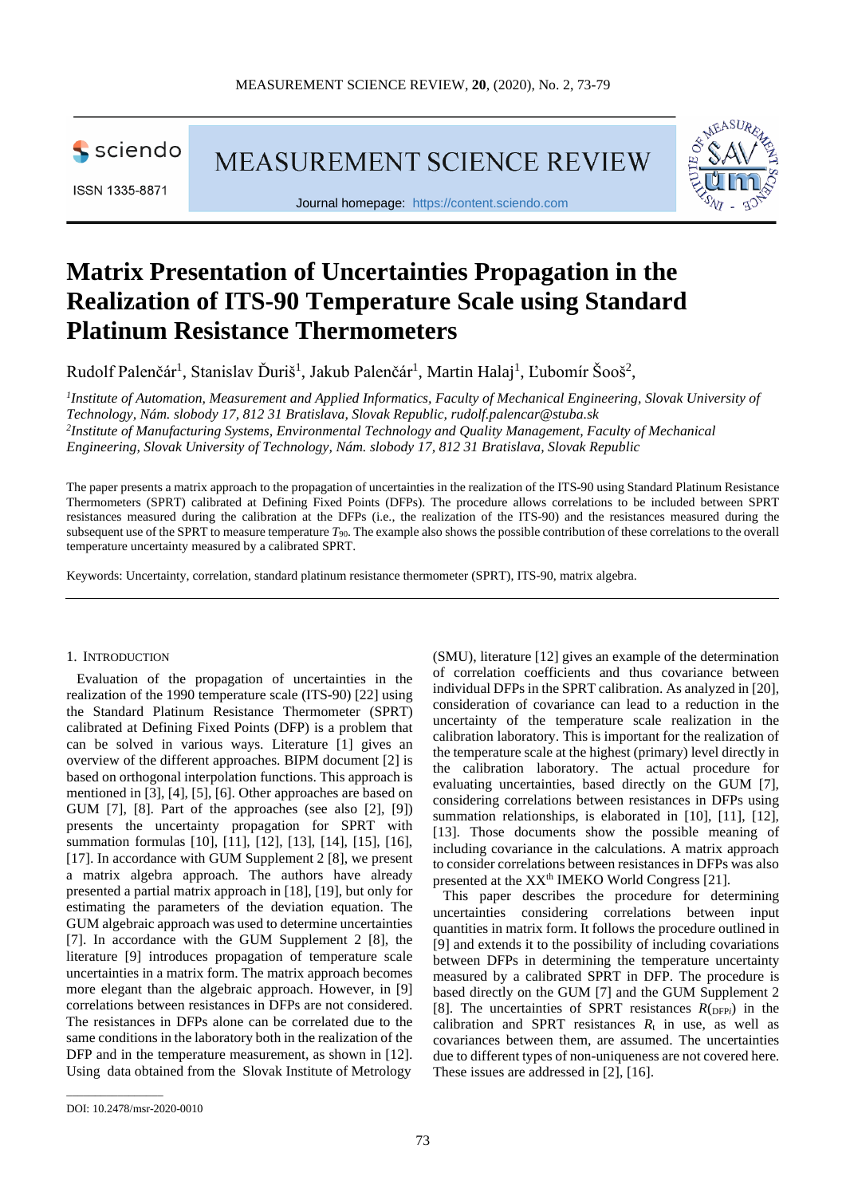

ISSN 1335-8871

MEASUREMENT SCIENCE REVIEW



Journal homepage: [https://content.sciendo.com](https://content.sciendo.com/view/journals/msr/msr-overview.xml)

# **Matrix Presentation of Uncertainties Propagation in the Realization of ITS-90 Temperature Scale using Standard Platinum Resistance Thermometers**

Rudolf Palenčár<sup>1</sup>, Stanislav Ďuriš<sup>1</sup>, Jakub Palenčár<sup>1</sup>, Martin Halaj<sup>1</sup>, Ľubomír Šooš<sup>2</sup>,

*1 Institute of Automation, Measurement and Applied Informatics, Faculty of Mechanical Engineering, Slovak University of Technology, Nám. slobody 17, 812 31 Bratislava, Slovak Republic, [rudolf.palencar@stuba.sk](mailto:rudolf.palencar@stuba.sk) 2 Institute of Manufacturing Systems, Environmental Technology and Quality Management, Faculty of Mechanical Engineering, Slovak University of Technology, Nám. slobody 17, 812 31 Bratislava, Slovak Republic*

The paper presents a matrix approach to the propagation of uncertainties in the realization of the ITS-90 using Standard Platinum Resistance Thermometers (SPRT) calibrated at Defining Fixed Points (DFPs). The procedure allows correlations to be included between SPRT resistances measured during the calibration at the DFPs (i.e., the realization of the ITS-90) and the resistances measured during the subsequent use of the SPRT to measure temperature *T*90. The example also shows the possible contribution of these correlations to the overall temperature uncertainty measured by a calibrated SPRT.

Keywords: Uncertainty, correlation, standard platinum resistance thermometer (SPRT), ITS-90, matrix algebra.

#### 1. INTRODUCTION

Evaluation of the propagation of uncertainties in the realization of the 1990 temperature scale (ITS-90) [22] using the Standard Platinum Resistance Thermometer (SPRT) calibrated at Defining Fixed Points (DFP) is a problem that can be solved in various ways. Literature [1] gives an overview of the different approaches. BIPM document [2] is based on orthogonal interpolation functions. This approach is mentioned in [3], [4], [5], [6]. Other approaches are based on GUM [7], [8]. Part of the approaches (see also [2], [9]) presents the uncertainty propagation for SPRT with summation formulas [10], [11], [12], [13], [14], [15], [16], [17]. In accordance with GUM Supplement 2 [8], we present a matrix algebra approach. The authors have already presented a partial matrix approach in [18], [19], but only for estimating the parameters of the deviation equation. The GUM algebraic approach was used to determine uncertainties [7]. In accordance with the GUM Supplement 2 [8], the literature [9] introduces propagation of temperature scale uncertainties in a matrix form. The matrix approach becomes more elegant than the algebraic approach. However, in [9] correlations between resistances in DFPs are not considered. The resistances in DFPs alone can be correlated due to the same conditions in the laboratory both in the realization of the DFP and in the temperature measurement, as shown in [12]. Using data obtained from the Slovak Institute of Metrology

(SMU), literature [12] gives an example of the determination of correlation coefficients and thus covariance between individual DFPs in the SPRT calibration. As analyzed in [20], consideration of covariance can lead to a reduction in the uncertainty of the temperature scale realization in the calibration laboratory. This is important for the realization of the temperature scale at the highest (primary) level directly in the calibration laboratory. The actual procedure for evaluating uncertainties, based directly on the GUM [7], considering correlations between resistances in DFPs using summation relationships, is elaborated in [10], [11], [12], [13]. Those documents show the possible meaning of including covariance in the calculations. A matrix approach to consider correlations between resistances in DFPs was also presented at the XX<sup>th</sup> IMEKO World Congress [21].

This paper describes the procedure for determining uncertainties considering correlations between input quantities in matrix form. It follows the procedure outlined in [9] and extends it to the possibility of including covariations between DFPs in determining the temperature uncertainty measured by a calibrated SPRT in DFP. The procedure is based directly on the GUM [7] and the GUM Supplement 2 [8]. The uncertainties of SPRT resistances  $R$ <sub>(DFP*i*</sub>) in the calibration and SPRT resistances  $R_t$  in use, as well as covariances between them, are assumed. The uncertainties due to different types of non-uniqueness are not covered here. These issues are addressed in [2], [16].

\_\_\_\_\_\_\_\_\_\_\_\_\_\_\_\_\_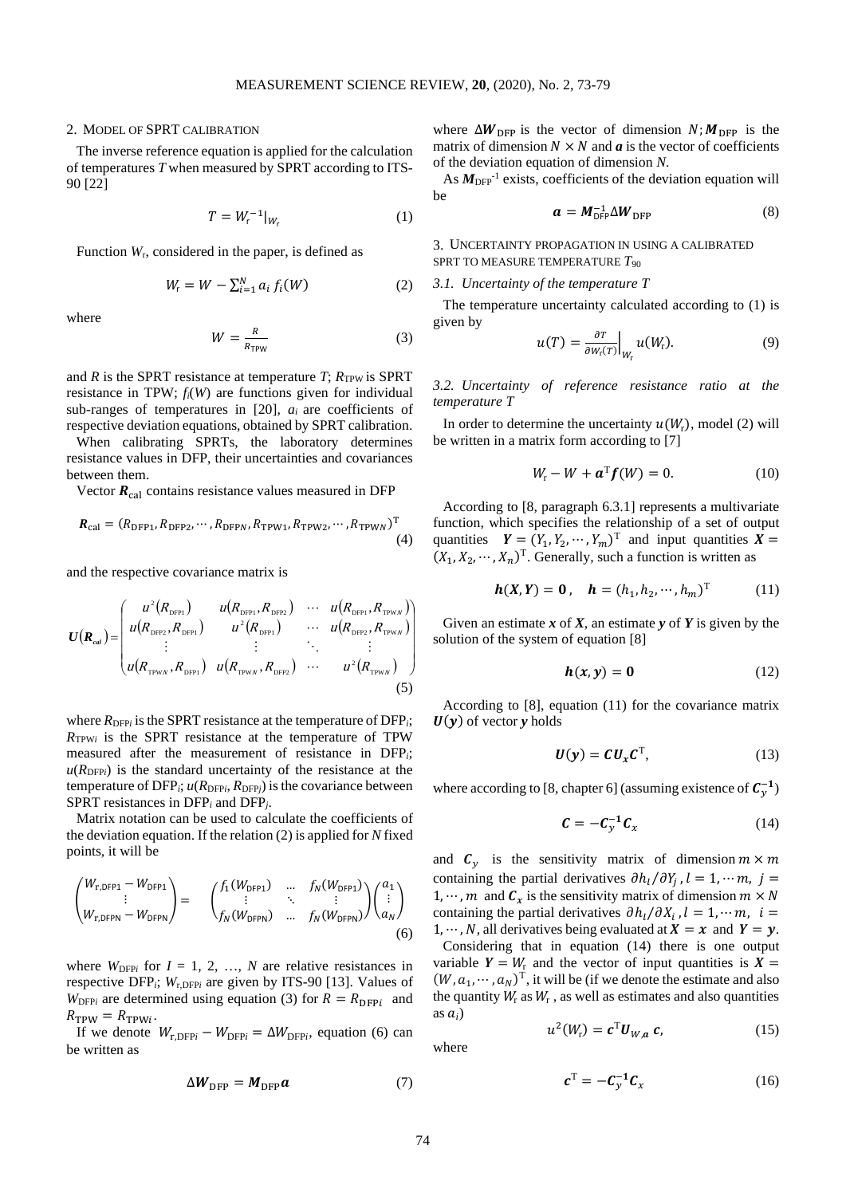#### 2. MODEL OF SPRT CALIBRATION

The inverse reference equation is applied for the calculation of temperatures *T* when measured by SPRT according to ITS-90 [22]

$$
T = W_{r}^{-1}|_{W_{r}} \tag{1}
$$

Function *W*r, considered in the paper, is defined as

$$
W_{\mathsf{r}} = W - \sum_{i=1}^{N} a_i f_i(W) \tag{2}
$$

where

$$
W = \frac{R}{R_{\text{TPW}}}
$$
 (3)

and *R* is the SPRT resistance at temperature *T*;  $R_{TPW}$  is SPRT resistance in TPW; *fi*(*W*) are functions given for individual sub-ranges of temperatures in [20], *ai* are coefficients of respective deviation equations, obtained by SPRT calibration.

When calibrating SPRTs, the laboratory determines resistance values in DFP, their uncertainties and covariances between them.

Vector  $R_{\text{cal}}$  contains resistance values measured in DFP

$$
\boldsymbol{R}_{\text{cal}} = (R_{\text{DFP1}}, R_{\text{DFP2}}, \cdots, R_{\text{DFPN}}, R_{\text{TPW1}}, R_{\text{TPW2}}, \cdots, R_{\text{TPWN}})^{\text{T}} \tag{4}
$$

and the respective covariance matrix is

$$
U(R_{\text{cal}}) = \begin{pmatrix} u^{2}(R_{\text{DFP1}}) & u(R_{\text{DFP1}}, R_{\text{DFP2}}) & \cdots & u(R_{\text{DFP1}}, R_{\text{TPWN}}) \\ u(R_{\text{DFP2}}, R_{\text{DFP1}}) & u^{2}(R_{\text{DFP1}}) & \cdots & u(R_{\text{DFP2}}, R_{\text{TPWN}}) \\ \vdots & \vdots & \ddots & \vdots \\ u(R_{\text{TPWN}}, R_{\text{DFP1}}) & u(R_{\text{TPWN}}, R_{\text{DFP2}}) & \cdots & u^{2}(R_{\text{TPWN}}) \end{pmatrix}
$$
(5)

where  $R_{\text{DFP}i}$  is the SPRT resistance at the temperature of DFP<sub>i</sub>;  $R_{TPWi}$  is the SPRT resistance at the temperature of TPW measured after the measurement of resistance in DFP*i*;  $u(R_{\text{DFP}i})$  is the standard uncertainty of the resistance at the temperature of  $DFP_i$ ;  $u(R_{DFP_i}, R_{DFP_j})$  is the covariance between SPRT resistances in DFP*<sup>i</sup>* and DFP*j*.

Matrix notation can be used to calculate the coefficients of the deviation equation. If the relation (2) is applied for *N* fixed points, it will be

$$
\begin{pmatrix} W_{r,DFP1} - W_{DFP1} \\ \vdots \\ W_{r,DFPN} - W_{DFPN} \end{pmatrix} = \begin{pmatrix} f_1(W_{DFP1}) & \dots & f_N(W_{DFP1}) \\ \vdots & \ddots & \vdots \\ f_N(W_{DFPN}) & \dots & f_N(W_{DFPN}) \end{pmatrix} \begin{pmatrix} a_1 \\ \vdots \\ a_N \end{pmatrix}
$$
\n(6)

where  $W_{\text{DFP}i}$  for  $I = 1, 2, ..., N$  are relative resistances in respective DFP<sub>i</sub>;  $W_{r,\text{DFP}i}$  are given by ITS-90 [13]. Values of  $W_{\text{DFPi}}$  are determined using equation (3) for  $R = R_{\text{DFPI}}$  and  $R_{\text{TPW}} = R_{\text{TPW}i}$ .

If we denote  $W_{\text{r},\text{DFP}i} - W_{\text{DFP}i} = \Delta W_{\text{DFP}i}$ , equation (6) can be written as

$$
\Delta W_{\rm DFP} = M_{\rm DFP} a \tag{7}
$$

where  $\Delta W_{\text{DFP}}$  is the vector of dimension  $N$ ;  $M_{\text{DFP}}$  is the matrix of dimension  $N \times N$  and  $a$  is the vector of coefficients of the deviation equation of dimension *N*.

As  $M_{\text{DFP}}^{-1}$  exists, coefficients of the deviation equation will be

$$
a = M_{\text{DFP}}^{-1} \Delta W_{\text{DFP}} \tag{8}
$$

3. UNCERTAINTY PROPAGATION IN USING A CALIBRATED SPRT TO MEASURE TEMPERATURE *T*<sup>90</sup>

## *3.1. Uncertainty of the temperature T*

The temperature uncertainty calculated according to (1) is given by

$$
u(T) = \frac{\partial T}{\partial W_{\rm r}(T)}\Big|_{W_{\rm r}} u(W_{\rm r}).\tag{9}
$$

*3.2. Uncertainty of reference resistance ratio at the temperature T*

In order to determine the uncertainty  $u(W_r)$ , model (2) will be written in a matrix form according to [7]

$$
W_{\rm r} - W + \mathbf{a}^{\rm T} \mathbf{f}(W) = 0. \tag{10}
$$

According to [8, paragraph 6.3.1] represents a multivariate function, which specifies the relationship of a set of output quantities  $\mathbf{Y} = (Y_1, Y_2, \dots, Y_m)^\text{T}$  and input quantities  $\mathbf{X} =$  $(X_1, X_2, \cdots, X_n)$ <sup>T</sup>. Generally, such a function is written as

$$
h(X,Y) = 0, \quad h = (h_1, h_2, \cdots, h_m)^T
$$
 (11)

Given an estimate  $x$  of  $X$ , an estimate  $y$  of  $Y$  is given by the solution of the system of equation [8]

$$
h(x, y) = 0 \tag{12}
$$

According to [8], equation (11) for the covariance matrix  $U(y)$  of vector *y* holds

$$
\boldsymbol{U}(\boldsymbol{y}) = \boldsymbol{C}\boldsymbol{U}_{\boldsymbol{x}}\boldsymbol{C}^{\mathrm{T}},\tag{13}
$$

where according to [8, chapter 6] (assuming existence of  $C_y^{-1}$ )

$$
\mathbf{C} = -\mathbf{C}_y^{-1}\mathbf{C}_x \tag{14}
$$

and  $C_v$  is the sensitivity matrix of dimension  $m \times m$ containing the partial derivatives  $\partial h_l / \partial Y_i$ ,  $l = 1, \dots m$ ,  $j =$  $1, \dots, m$  and  $C_r$  is the sensitivity matrix of dimension  $m \times N$ containing the partial derivatives  $\partial h_i/\partial X_i$ ,  $l = 1, \dots m$ ,  $i =$ 1,  $\cdots$ , N, all derivatives being evaluated at  $X = x$  and  $Y = y$ . Considering that in equation (14) there is one output variable  $Y = W_r$  and the vector of input quantities is  $X =$  $(W, a_1, \dots, a_N)^T$ , it will be (if we denote the estimate and also the quantity  $W_r$  as  $W_r$ , as well as estimates and also quantities as  $a_i$ )

$$
u^2(W_{\rm r}) = \mathbf{c}^{\rm T} \mathbf{U}_{W,\mathbf{a}} \mathbf{c},\tag{15}
$$

where

$$
\boldsymbol{c}^{\mathrm{T}} = -\boldsymbol{C}_{\mathcal{Y}}^{-1}\boldsymbol{C}_{\mathcal{X}} \tag{16}
$$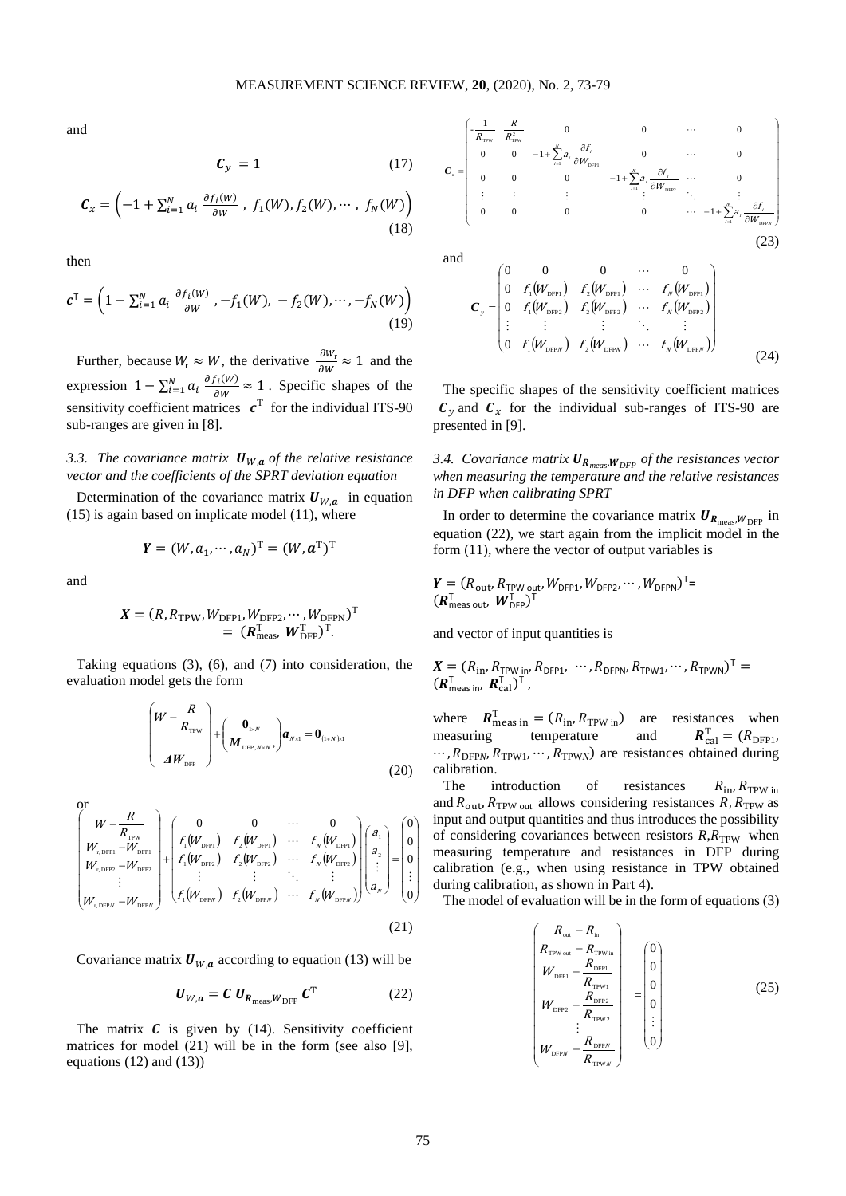and

$$
C_{y} = 1 \tag{17}
$$

$$
\mathcal{C}_{x} = \left(-1 + \sum_{i=1}^{N} a_{i} \frac{\partial f_{i}(W)}{\partial W}, f_{1}(W), f_{2}(W), \cdots, f_{N}(W)\right)
$$
\n(18)

then

$$
\mathbf{c}^{\mathsf{T}} = \left(1 - \sum_{i=1}^{N} a_i \frac{\partial f_i(W)}{\partial W}, -f_1(W), -f_2(W), \cdots, -f_N(W)\right)
$$
\n(19)

Further, because  $W_r \approx W$ , the derivative  $\frac{\partial W_r}{\partial W} \approx 1$  and the expression  $1 - \sum_{i=1}^{N} a_i \frac{\partial f_i(W)}{\partial W} \approx 1$ . Specific shapes of the sensitivity coefficient matrices  $\boldsymbol{c}^T$  for the individual ITS-90 sub-ranges are given in [8].

# *3.3. The covariance matrix*  $\mathbf{U}_{W,a}$  of the relative resistance *vector and the coefficients of the SPRT deviation equation*

Determination of the covariance matrix  $U_{W,a}$  in equation (15) is again based on implicate model (11), where

$$
\mathbf{Y} = (W, a_1, \cdots, a_N)^{\mathrm{T}} = (W, \mathbf{a}^{\mathrm{T}})^{\mathrm{T}}
$$

and

$$
\mathbf{X} = (R, R_{\text{TPW}}, W_{\text{DFPI}}, W_{\text{DFP2}}, \cdots, W_{\text{DFPN}})^{\text{T}} \n= (\mathbf{R}_{\text{meas}}^{\text{T}}, \mathbf{W}_{\text{DFP}}^{\text{T}})^{\text{T}}.
$$

Taking equations (3), (6), and (7) into consideration, the evaluation model gets the form

$$
\begin{pmatrix} W - \frac{R}{R_{\text{TPW}}} \\ A W_{\text{DFP}} \end{pmatrix} + \begin{pmatrix} \mathbf{0}_{1 \times N} \\ M_{\text{DFP}, N \times N}, \end{pmatrix} \mathbf{a}_{N \times 1} = \mathbf{0}_{(1+N) \times 1}
$$
 (20)

or  
\n
$$
\begin{pmatrix}\nW - \frac{R}{R_{\text{TPW}}} \\
W_{r,\text{DFPI}} - W_{\text{DFPI}} \\
W_{r,\text{DFPI}} - W_{\text{DFPI}} \\
\vdots \\
W_{r,\text{DFPN}} - W_{\text{DFPN}}\n\end{pmatrix} + \begin{pmatrix}\n0 & 0 & \cdots & 0 \\
f_1(W_{\text{DFPI}}) & f_2(W_{\text{DFPI}}) & \cdots & f_N(W_{\text{DFPI}}) \\
f_1(W_{\text{FPI2}}) & f_2(W_{\text{DFPI2}}) & \cdots & f_N(W_{\text{DFPI}}) \\
\vdots & \vdots & \ddots & \vdots \\
f_1(W_{\text{DFPN}}) & f_2(W_{\text{DFPN}}) & \cdots & f_N(W_{\text{DFPN}})\n\end{pmatrix} \begin{pmatrix}\na_1 \\
a_2 \\
\vdots \\
a_N\n\end{pmatrix} = \begin{pmatrix}\n0 \\
0 \\
\vdots \\
0 \\
0\n\end{pmatrix}
$$
\n(21)

Covariance matrix  $U_{W,a}$  according to equation (13) will be

$$
\boldsymbol{U}_{W,a} = \boldsymbol{C} \; \boldsymbol{U}_{\boldsymbol{R}_{\text{meas}},W_{\text{DFP}}} \; \boldsymbol{C}^{\text{T}} \tag{22}
$$

The matrix  $C$  is given by (14). Sensitivity coefficient matrices for model (21) will be in the form (see also [9], equations (12) and (13))



 $(W_{\text{def}})$   $f_{\gamma}(W_{\text{def}})$   $\cdots$   $f_{\gamma}(W_{\text{def}})$  $(W_{\text{defp}})$   $f_{\gamma}(W_{\text{defp}})$   $\cdots$   $f_{\gamma}(W_{\text{defp}})$  $(W_{\text{new}})$   $f_{\gamma}(W_{\text{new}})$   $\cdots$   $f_{\gamma}(W_{\text{new}})$  $\overline{\phantom{a}}$  $\overline{\phantom{a}}$  $\overline{\phantom{a}}$  $\overline{\phantom{a}}$  $\overline{\phantom{a}}$ リ Ì I I I I I I l ſ = N N N N N N  $f(W_{\rm max})$   $f_{\rm s}(W_{\rm max})$   $\cdots$   $f_{\rm w}(W_{\rm s})$  $f(W_{\rm rms})$   $f_{\rm s}(W_{\rm rms})$   $\cdots$   $f_{\rm s}(W_{\rm s})$  $f(W_{\rm cm})$   $f_{\rm s}(W_{\rm cm})$   $\cdots$   $f_{\rm s}(W_{\rm s})$  $1 \vee$  DFPN  $1 \vee$  DFPN  $1 \vee$  DFF  $1 \vee$  DFP2  $\vee$  2  $\vee$  DFP2  $\vee$   $\vee$   $\vee$   $\vee$  DFP2  $1 \vee$  DFP1  $2 \vee$  DFP1  $\vee$   $\vee$  DFP1  $\boldsymbol{0}$  $\boldsymbol{0}$  $\boldsymbol{0}$  $0 \qquad 0 \qquad \cdots \qquad 0$  $\ldots$ En el Brasil, el Brasil, el Brasil, el Brasil, el Brasil, el Brasil, el Br  $\ddots$  $\cdots$  $\ldots$  $\bm{C}_y$ (24)

The specific shapes of the sensitivity coefficient matrices  $\mathcal{C}_{\gamma}$  and  $\mathcal{C}_{\chi}$  for the individual sub-ranges of ITS-90 are presented in [9].

*3.4. Covariance matrix*  $U_{R_{meas},W_{DFP}}$  *of the resistances vector when measuring the temperature and the relative resistances in DFP when calibrating SPRT*

In order to determine the covariance matrix  $U_{R_{\text{meas}};W_{\text{DFP}}}$  in equation (22), we start again from the implicit model in the form (11), where the vector of output variables is

$$
\boldsymbol{Y} = (R_{\text{out}}, R_{\text{TPW out}}, W_{\text{DFP1}}, W_{\text{DFP2}}, \cdots, W_{\text{DFPN}})^{\text{T}} = (\boldsymbol{R}_{\text{meas out}}^{\text{T}}, \boldsymbol{W}_{\text{DFP}}^{\text{T}})^{\text{T}}
$$

and vector of input quantities is

$$
\boldsymbol{X} = (R_{\text{in}}, R_{\text{TPW in}}, R_{\text{DFP1}}, \cdots, R_{\text{DFPN}}, R_{\text{TPW1}}, \cdots, R_{\text{TPWN}})^{\text{T}} = (R_{\text{meas in}}, R_{\text{cal}}^{\text{T}})^{\text{T}},
$$

where  $\mathbf{R}_{\text{meas in}}^{\text{T}} = (R_{\text{in}}, R_{\text{TPW in}})$  are resistances when measuring temperature and  $R_{\text{cal}}^{\text{T}} = (R_{\text{DFP1}},$  $\cdots$ ,  $R_{\text{DFPN}}$ ,  $R_{\text{TPW1}}$ ,  $\cdots$ ,  $R_{\text{TPWN}}$ ) are resistances obtained during calibration.

The introduction of resistances  $R_{\text{in}}$ ,  $R_{\text{TPW in}}$ and  $R_{\text{out}}$ ,  $R_{\text{TPW out}}$  allows considering resistances  $R$ ,  $R_{\text{TPW}}$  as input and output quantities and thus introduces the possibility of considering covariances between resistors  $R, R_{TPW}$  when measuring temperature and resistances in DFP during calibration (e.g., when using resistance in TPW obtained during calibration, as shown in Part 4).

The model of evaluation will be in the form of equations (3)

$$
\begin{pmatrix}\nR_{\text{out}} - R_{\text{in}} \\
R_{\text{TPW out}} - R_{\text{TPW in}} \\
W_{\text{DFPI}} - \frac{R_{\text{DFPI}}}{R_{\text{TPW1}}}\n\end{pmatrix} = \begin{pmatrix}\n0 \\
0 \\
0 \\
0 \\
0 \\
\vdots \\
0\n\end{pmatrix}
$$
\n(25)\n
$$
W_{\text{DFPI}} - \frac{R_{\text{DFPI}}}{R_{\text{TPW2}}}\n= \begin{pmatrix}\n0 \\
0 \\
0 \\
0 \\
\vdots \\
0\n\end{pmatrix}
$$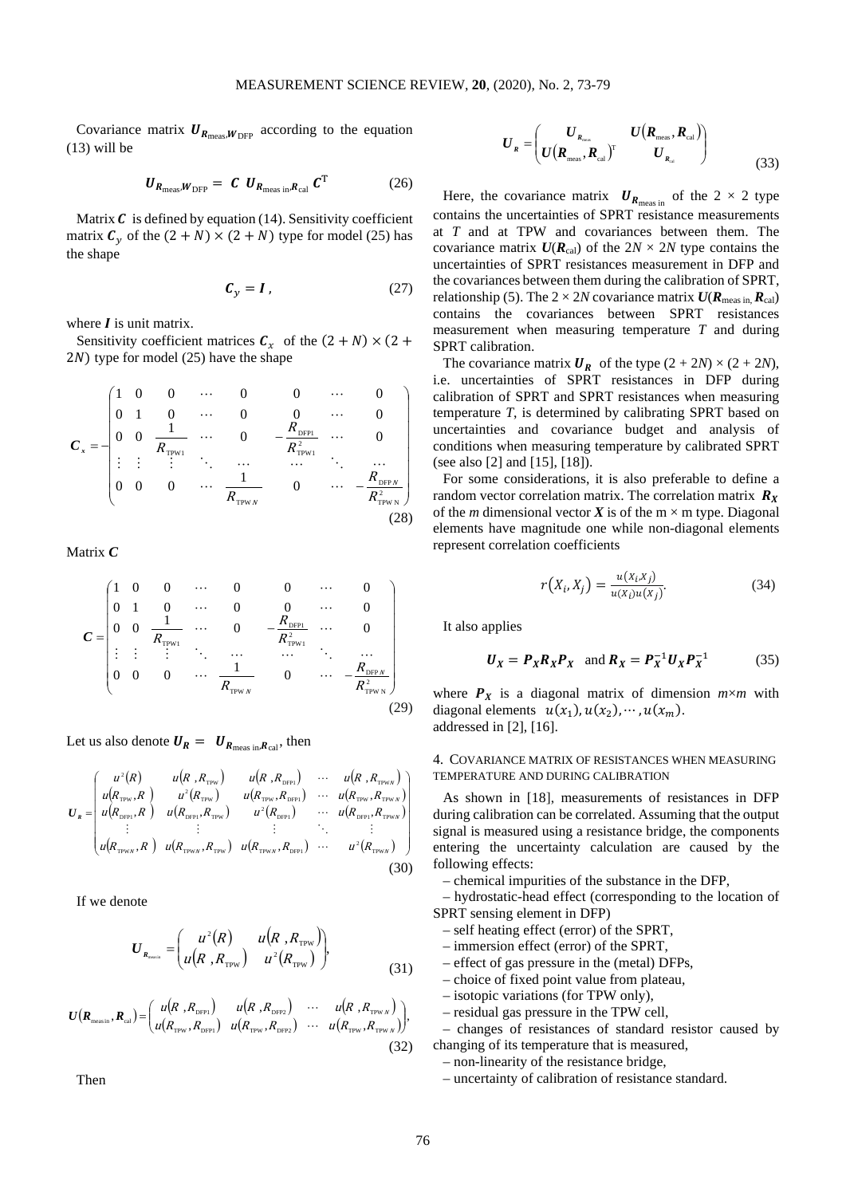Covariance matrix  $U_{R_{\text{meas}}}, W_{\text{DFP}}$  according to the equation (13) will be

$$
\boldsymbol{U}_{\boldsymbol{R}_{\text{meas}}, \boldsymbol{W}_{\text{DFP}}} = \boldsymbol{C} \ \boldsymbol{U}_{\boldsymbol{R}_{\text{meas in}}, \boldsymbol{R}_{\text{cal}}} \ \boldsymbol{C}^{\text{T}} \tag{26}
$$

Matrix  $\boldsymbol{C}$  is defined by equation (14). Sensitivity coefficient matrix  $C_v$  of the  $(2 + N) \times (2 + N)$  type for model (25) has the shape

$$
C_y = I, \t(27)
$$

where  $\boldsymbol{I}$  is unit matrix.

Sensitivity coefficient matrices  $C_x$  of the  $(2 + N) \times (2 +$  $2N$ ) type for model (25) have the shape

$$
C_x = -\begin{pmatrix} 1 & 0 & 0 & \cdots & 0 & 0 & \cdots & 0 \\ 0 & 1 & 0 & \cdots & 0 & 0 & \cdots & 0 \\ 0 & 0 & \frac{1}{R_{\text{TPW1}}} & \cdots & 0 & -\frac{R_{\text{DFP1}}}{R_{\text{TPW1}}^2} & \cdots & 0 \\ \vdots & \vdots & \vdots & \ddots & \cdots & \cdots & \ddots & \cdots \\ 0 & 0 & 0 & \cdots & \frac{1}{R_{\text{TPWN}}} & 0 & \cdots & -\frac{R_{\text{DFPN}}}{R_{\text{TPWN}}^2} \end{pmatrix}
$$
(28)

Matrix *C*

$$
C = \begin{pmatrix} 1 & 0 & 0 & \cdots & 0 & 0 & \cdots & 0 \\ 0 & 1 & 0 & \cdots & 0 & 0 & \cdots & 0 \\ 0 & 0 & \frac{1}{R_{\text{TPW1}}} & \cdots & 0 & -\frac{R_{\text{DFP1}}}{R_{\text{TPW1}}^2} & \cdots & 0 \\ \vdots & \vdots & \vdots & \ddots & \cdots & \cdots & \ddots & \cdots \\ 0 & 0 & 0 & \cdots & \frac{1}{R_{\text{TPWN}}} & 0 & \cdots & -\frac{R_{\text{DFPN}}}{R_{\text{TPWN}}^2} \end{pmatrix}
$$
(29)

Let us also denote  $U_R = U_{R_{\text{meas in}}R_{\text{cal}}}$ , then

$$
U_{R} = \begin{pmatrix} u^{2}(R) & u(R, R_{\text{TPw}}) & u(R, R_{\text{DPH}}) & \cdots & u(R, R_{\text{TPw}}) \\ u(R_{\text{TPw}}, R) & u^{2}(R_{\text{TPw}}) & u(R_{\text{TPw}}, R_{\text{DPH}}) & \cdots & u(R_{\text{TPw}}, R_{\text{TPw}}) \\ u(R_{\text{DPH}}, R) & u(R_{\text{DPH}}, R_{\text{TPw}}) & u^{2}(R_{\text{DPH}}) & \cdots & u(R_{\text{DPH}}, R_{\text{TPw}}) \\ \vdots & \vdots & \ddots & \vdots & \vdots \\ u(R_{\text{TPw}}, R) & u(R_{\text{TPw}}, R_{\text{TPw}}) & u(R_{\text{TPw}}, R_{\text{DPH}}) & \cdots & u^{2}(R_{\text{TPw}}) \end{pmatrix}
$$
\n(30)

If we denote

$$
U_{R_{\text{mean}}} = \begin{pmatrix} u^2(R) & u(R, R_{\text{TPW}}) \\ u(R, R_{\text{TPW}}) & u^2(R_{\text{TPW}}) \end{pmatrix},
$$
(31)

$$
U(R_{\text{mean}}, R_{\text{cal}}) = \begin{pmatrix} u(R, R_{\text{DFP1}}) & u(R, R_{\text{DFP2}}) & \cdots & u(R, R_{\text{TPW}N}) \\ u(R_{\text{TPW}}, R_{\text{DFP1}}) & u(R_{\text{TPW}}, R_{\text{DFP2}}) & \cdots & u(R_{\text{TPW}}, R_{\text{TPW}N}) \end{pmatrix},
$$
\n(32)

Then

$$
\boldsymbol{U}_{R} = \begin{pmatrix} \boldsymbol{U}_{R_{\text{meas}}}, \boldsymbol{R}_{\text{cal}} \\ \boldsymbol{U} (\boldsymbol{R}_{\text{meas}}, \boldsymbol{R}_{\text{cal}})^{\text{T}} & \boldsymbol{U}_{R_{\text{cal}}} \end{pmatrix}
$$
(33)

Here, the covariance matrix  $\boldsymbol{U}_{\boldsymbol{R}_{\text{meas in}}}$  of the 2 × 2 type contains the uncertainties of SPRT resistance measurements at *T* and at TPW and covariances between them. The covariance matrix  $U(R_{cal})$  of the  $2N \times 2N$  type contains the uncertainties of SPRT resistances measurement in DFP and the covariances between them during the calibration of SPRT, relationship (5). The  $2 \times 2N$  covariance matrix  $U(R_{\text{meas in}} R_{\text{cal}})$ contains the covariances between SPRT resistances measurement when measuring temperature *T* and during SPRT calibration.

The covariance matrix  $U_R$  of the type  $(2 + 2N) \times (2 + 2N)$ , i.e. uncertainties of SPRT resistances in DFP during calibration of SPRT and SPRT resistances when measuring temperature *T*, is determined by calibrating SPRT based on uncertainties and covariance budget and analysis of conditions when measuring temperature by calibrated SPRT (see also [2] and [15], [18]).

For some considerations, it is also preferable to define a random vector correlation matrix. The correlation matrix  $R_X$ of the *m* dimensional vector *X* is of the  $m \times m$  type. Diagonal elements have magnitude one while non-diagonal elements represent correlation coefficients

$$
r(X_i, X_j) = \frac{u(X_i, X_j)}{u(X_i)u(X_j)}.
$$
\n(34)

It also applies

$$
U_X = P_X R_X P_X \quad \text{and } R_X = P_X^{-1} U_X P_X^{-1} \tag{35}
$$

where  $P_X$  is a diagonal matrix of dimension  $m \times m$  with diagonal elements  $u(x_1), u(x_2), \dots, u(x_m)$ . addressed in [2], [16].

## 4. COVARIANCE MATRIX OF RESISTANCES WHEN MEASURING TEMPERATURE AND DURING CALIBRATION

As shown in [18], measurements of resistances in DFP during calibration can be correlated. Assuming that the output signal is measured using a resistance bridge, the components entering the uncertainty calculation are caused by the following effects:

– chemical impurities of the substance in the DFP,

– hydrostatic-head effect (corresponding to the location of SPRT sensing element in DFP)

- self heating effect (error) of the SPRT,
- immersion effect (error) of the SPRT,
- effect of gas pressure in the (metal) DFPs,
- choice of fixed point value from plateau,
- isotopic variations (for TPW only),
- residual gas pressure in the TPW cell,

– changes of resistances of standard resistor caused by changing of its temperature that is measured,

– non-linearity of the resistance bridge,

– uncertainty of calibration of resistance standard.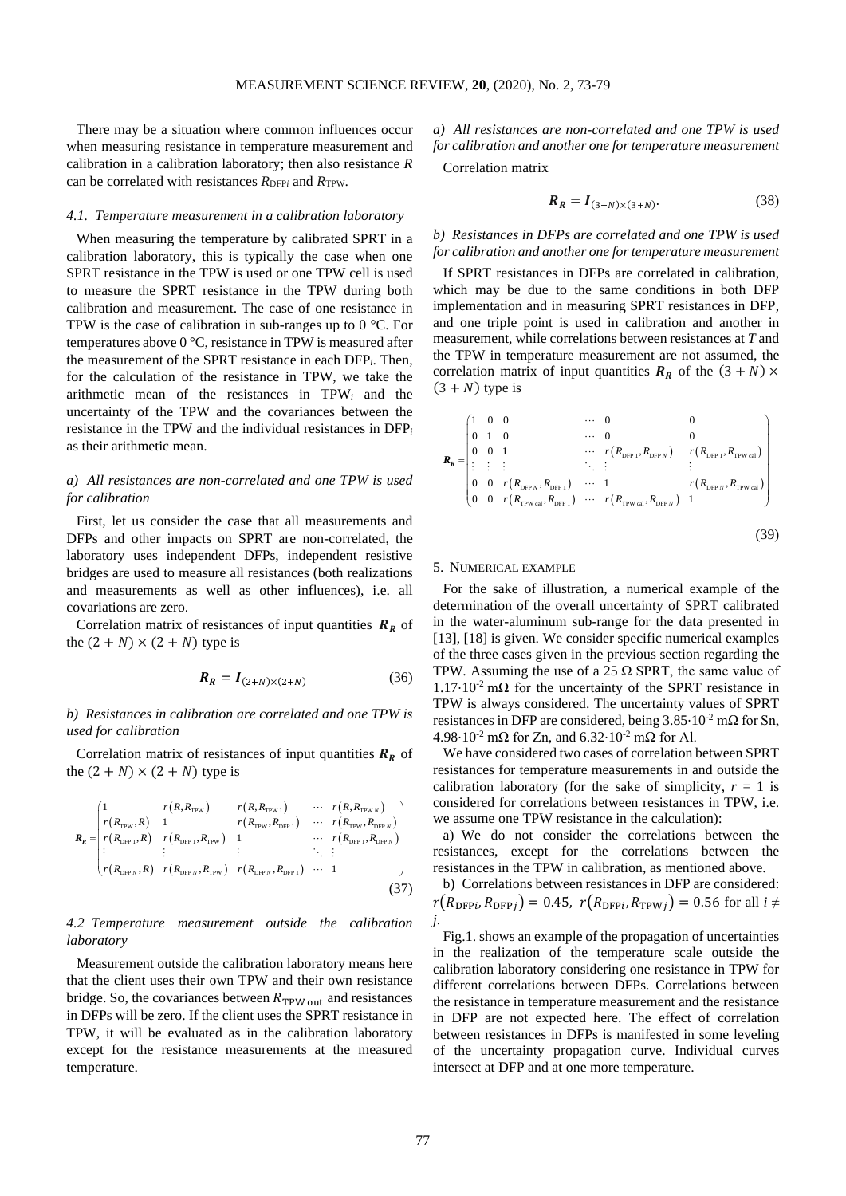There may be a situation where common influences occur when measuring resistance in temperature measurement and calibration in a calibration laboratory; then also resistance *R* can be correlated with resistances  $R_{\text{DFP}i}$  and  $R_{\text{TPW}}$ .

#### *4.1. Temperature measurement in a calibration laboratory*

When measuring the temperature by calibrated SPRT in a calibration laboratory, this is typically the case when one SPRT resistance in the TPW is used or one TPW cell is used to measure the SPRT resistance in the TPW during both calibration and measurement. The case of one resistance in TPW is the case of calibration in sub-ranges up to  $0^{\circ}$ C. For temperatures above 0 °C, resistance in TPW is measured after the measurement of the SPRT resistance in each DFP*i*. Then, for the calculation of the resistance in TPW, we take the arithmetic mean of the resistances in TPW*<sup>i</sup>* and the uncertainty of the TPW and the covariances between the resistance in the TPW and the individual resistances in DFP*<sup>i</sup>* as their arithmetic mean.

# *a) All resistances are non-correlated and one TPW is used for calibration*

First, let us consider the case that all measurements and DFPs and other impacts on SPRT are non-correlated, the laboratory uses independent DFPs, independent resistive bridges are used to measure all resistances (both realizations and measurements as well as other influences), i.e. all covariations are zero.

Correlation matrix of resistances of input quantities  $R_R$  of the  $(2 + N) \times (2 + N)$  type is

$$
\boldsymbol{R}_{\boldsymbol{R}} = \boldsymbol{I}_{(2+N)\times(2+N)} \tag{36}
$$

*b) Resistances in calibration are correlated and one TPW is used for calibration*

Correlation matrix of resistances of input quantities  $R_R$  of the  $(2 + N) \times (2 + N)$  type is

$$
\boldsymbol{R}_{R} = \begin{bmatrix}\n1 & r(R, R_{\text{TPW}}) & r(R, R_{\text{TPW}}) & \cdots & r(R, R_{\text{TPW}}) \\
r(R_{\text{TPW}}, R) & 1 & r(R_{\text{TPW}}, R_{\text{DPP}}) & \cdots & r(R_{\text{FPW}}, R_{\text{DPW}}) \\
r(R_{\text{DFP}1}, R) & r(R_{\text{DFP}1}, R_{\text{TPW}}) & 1 & \cdots & r(R_{\text{DFP}1}, R_{\text{DPW}}) \\
\vdots & \vdots & \vdots & \ddots & \vdots \\
r(R_{\text{DFP}N}, R) & r(R_{\text{DFP}N}, R_{\text{TPW}}) & r(R_{\text{DFP}N}, R_{\text{DFP}1}) & \cdots & 1\n\end{bmatrix}
$$
\n(37)

# *4.2 Temperature measurement outside the calibration laboratory*

Measurement outside the calibration laboratory means here that the client uses their own TPW and their own resistance bridge. So, the covariances between  $R_{TPW \text{ out}}$  and resistances in DFPs will be zero. If the client uses the SPRT resistance in TPW, it will be evaluated as in the calibration laboratory except for the resistance measurements at the measured temperature.

*a) All resistances are non-correlated and one TPW is used for calibration and another one for temperature measurement*

Correlation matrix

$$
R_R = I_{(3+N)\times(3+N)}.\t(38)
$$

# *b) Resistances in DFPs are correlated and one TPW is used for calibration and another one for temperature measurement*

If SPRT resistances in DFPs are correlated in calibration, which may be due to the same conditions in both DFP implementation and in measuring SPRT resistances in DFP, and one triple point is used in calibration and another in measurement, while correlations between resistances at *T* and the TPW in temperature measurement are not assumed, the correlation matrix of input quantities  $R_R$  of the  $(3 + N) \times$  $(3 + N)$  type is

$$
\mathbf{R}_{R} = \begin{pmatrix}\n1 & 0 & 0 & & & \cdots & 0 & & & 0 \\
0 & 1 & 0 & & & \cdots & 0 & & & 0 \\
0 & 0 & 1 & & & & \cdots & r(R_{\text{DFP }1}, R_{\text{DFP }N}) & r(R_{\text{DFP }1}, R_{\text{TPW cal}}) \\
\vdots & \vdots & \vdots & & & \ddots & \vdots & & \vdots \\
0 & 0 & r(R_{\text{DFP }N}, R_{\text{DFP }1}) & \cdots & 1 & & & r(R_{\text{DFP }N}, R_{\text{TPW cal}}) \\
0 & 0 & r(R_{\text{TPW cal}}, R_{\text{DFP }1}) & \cdots & r(R_{\text{TPW cal}}, R_{\text{DFP }N}) & 1\n\end{pmatrix}
$$
\n(39)

# 5. NUMERICAL EXAMPLE

For the sake of illustration, a numerical example of the determination of the overall uncertainty of SPRT calibrated in the water-aluminum sub-range for the data presented in [13], [18] is given. We consider specific numerical examples of the three cases given in the previous section regarding the TPW. Assuming the use of a 25  $\Omega$  SPRT, the same value of  $1.17 \cdot 10^{-2}$  m $\Omega$  for the uncertainty of the SPRT resistance in TPW is always considered. The uncertainty values of SPRT resistances in DFP are considered, being  $3.85 \cdot 10^{-2}$  m $\Omega$  for Sn,  $4.98 \cdot 10^{-2}$  m $\Omega$  for Zn, and  $6.32 \cdot 10^{-2}$  m $\Omega$  for Al.

We have considered two cases of correlation between SPRT resistances for temperature measurements in and outside the calibration laboratory (for the sake of simplicity,  $r = 1$  is considered for correlations between resistances in TPW, i.e. we assume one TPW resistance in the calculation):

a) We do not consider the correlations between the resistances, except for the correlations between the resistances in the TPW in calibration, as mentioned above.

b) Correlations between resistances in DFP are considered:  $r(R_{\text{DFPi}}, R_{\text{DFPI}}) = 0.45$ ,  $r(R_{\text{DFPi}}, R_{\text{TPW}}) = 0.56$  for all  $i \neq$ *j*.

Fig.1. shows an example of the propagation of uncertainties in the realization of the temperature scale outside the calibration laboratory considering one resistance in TPW for different correlations between DFPs. Correlations between the resistance in temperature measurement and the resistance in DFP are not expected here. The effect of correlation between resistances in DFPs is manifested in some leveling of the uncertainty propagation curve. Individual curves intersect at DFP and at one more temperature.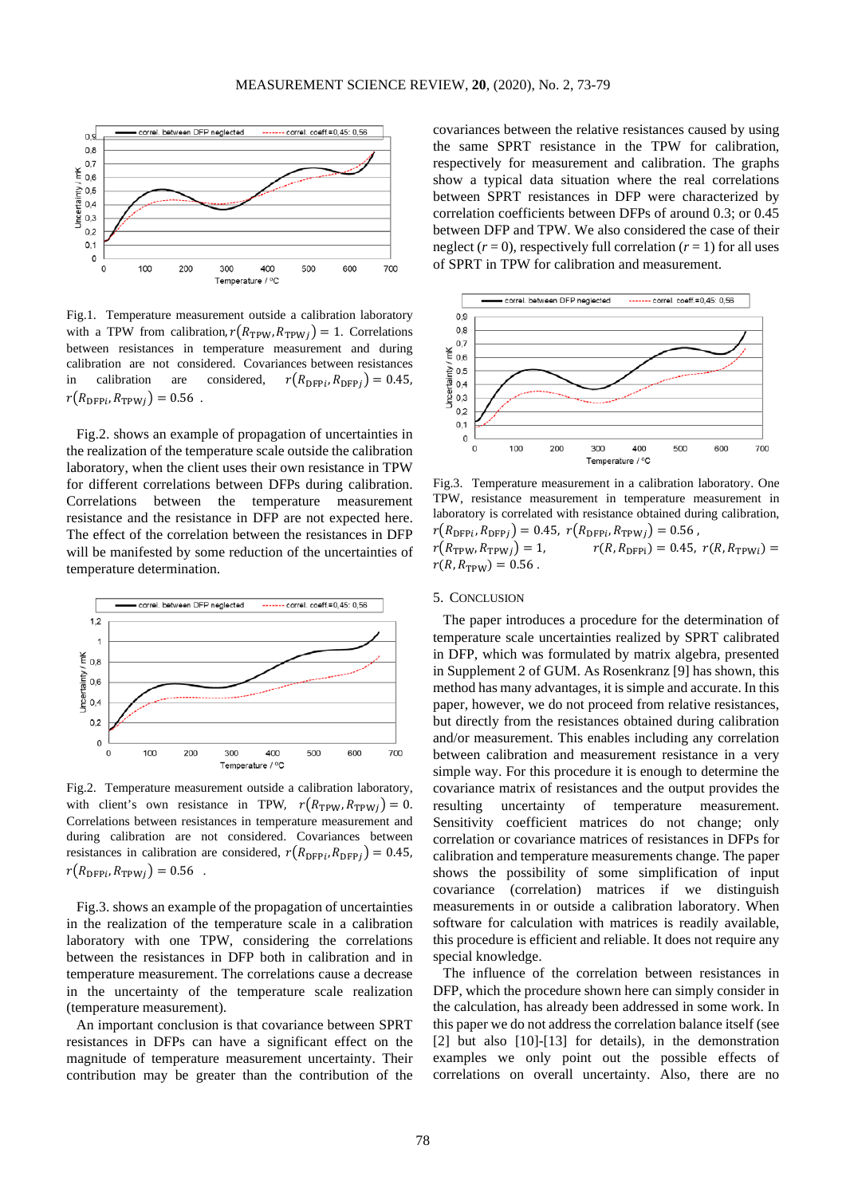

Fig.1. Temperature measurement outside a calibration laboratory with a TPW from calibration,  $r(R_{TPW}, R_{TPW}$  $) = 1$ . Correlations between resistances in temperature measurement and during calibration are not considered. Covariances between resistances in calibration are considered,  $r(R_{\text{DFP}i}, R_{\text{DFP}j}) = 0.45$ ,  $r(R_{\text{DFP}i}, R_{\text{TPW}i}) = 0.56$ .

Fig.2. shows an example of propagation of uncertainties in the realization of the temperature scale outside the calibration laboratory, when the client uses their own resistance in TPW for different correlations between DFPs during calibration. Correlations between the temperature measurement resistance and the resistance in DFP are not expected here. The effect of the correlation between the resistances in DFP will be manifested by some reduction of the uncertainties of temperature determination.



Fig.2. Temperature measurement outside a calibration laboratory, with client's own resistance in TPW,  $r(R_{\text{TPW}}, R_{\text{TPW}}) = 0$ . Correlations between resistances in temperature measurement and during calibration are not considered. Covariances between resistances in calibration are considered,  $r(R_{\text{DFP}i}, R_{\text{DFP}j}) = 0.45$ ,  $r(R_{\text{DFP}i}, R_{\text{TPW}i}) = 0.56$ .

Fig.3. shows an example of the propagation of uncertainties in the realization of the temperature scale in a calibration laboratory with one TPW, considering the correlations between the resistances in DFP both in calibration and in temperature measurement. The correlations cause a decrease in the uncertainty of the temperature scale realization (temperature measurement).

An important conclusion is that covariance between SPRT resistances in DFPs can have a significant effect on the magnitude of temperature measurement uncertainty. Their contribution may be greater than the contribution of the covariances between the relative resistances caused by using the same SPRT resistance in the TPW for calibration, respectively for measurement and calibration. The graphs show a typical data situation where the real correlations between SPRT resistances in DFP were characterized by correlation coefficients between DFPs of around 0.3; or 0.45 between DFP and TPW. We also considered the case of their neglect  $(r = 0)$ , respectively full correlation  $(r = 1)$  for all uses of SPRT in TPW for calibration and measurement.



Fig.3. Temperature measurement in a calibration laboratory. One TPW, resistance measurement in temperature measurement in laboratory is correlated with resistance obtained during calibration,  $r(R_{\text{DFP}i}, R_{\text{DFP}j}) = 0.45, r(R_{\text{DFP}i}, R_{\text{TPW}j}) = 0.56$ ,  $r(R_{\text{TPW}}, R_{\text{TPW}j}) = 1,$   $r(R, R_{\text{DF}Pi}) = 0.45, r(R, R_{\text{TPW}i}) =$ 

## 5. CONCLUSION

 $r(R, R_{\text{TPW}}) = 0.56$ .

The paper introduces a procedure for the determination of temperature scale uncertainties realized by SPRT calibrated in DFP, which was formulated by matrix algebra, presented in Supplement 2 of GUM. As Rosenkranz [9] has shown, this method has many advantages, it is simple and accurate. In this paper, however, we do not proceed from relative resistances, but directly from the resistances obtained during calibration and/or measurement. This enables including any correlation between calibration and measurement resistance in a very simple way. For this procedure it is enough to determine the covariance matrix of resistances and the output provides the resulting uncertainty of temperature measurement. Sensitivity coefficient matrices do not change; only correlation or covariance matrices of resistances in DFPs for calibration and temperature measurements change. The paper shows the possibility of some simplification of input covariance (correlation) matrices if we distinguish measurements in or outside a calibration laboratory. When software for calculation with matrices is readily available, this procedure is efficient and reliable. It does not require any special knowledge.

The influence of the correlation between resistances in DFP, which the procedure shown here can simply consider in the calculation, has already been addressed in some work. In this paper we do not address the correlation balance itself (see [2] but also  $[10]-[13]$  for details), in the demonstration examples we only point out the possible effects of correlations on overall uncertainty. Also, there are no